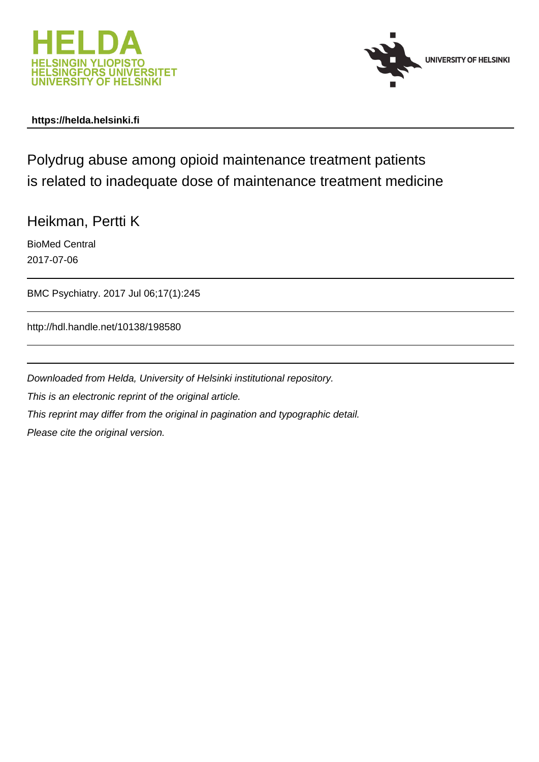



# **https://helda.helsinki.fi**

Polydrug abuse among opioid maintenance treatment patients is related to inadequate dose of maintenance treatment medicine

Heikman, Pertti K

BioMed Central 2017-07-06

BMC Psychiatry. 2017 Jul 06;17(1):245

http://hdl.handle.net/10138/198580

Downloaded from Helda, University of Helsinki institutional repository. This is an electronic reprint of the original article. This reprint may differ from the original in pagination and typographic detail. Please cite the original version.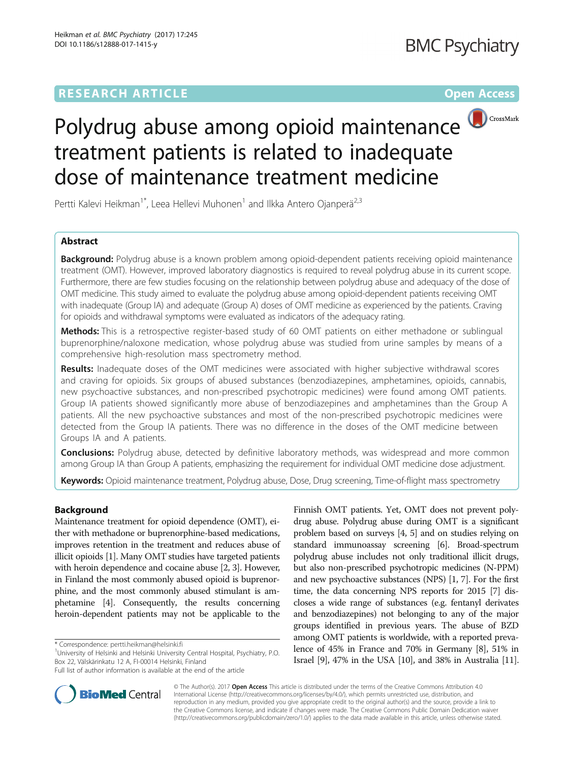# **RESEARCH ARTICLE Example 2018 12:00 Department of the Contract Open Access**



# Polydrug abuse among opioid maintenance treatment patients is related to inadequate dose of maintenance treatment medicine

Pertti Kalevi Heikman<sup>1\*</sup>, Leea Hellevi Muhonen<sup>1</sup> and Ilkka Antero Ojanperä<sup>2,3</sup>

# Abstract

**Background:** Polydrug abuse is a known problem among opioid-dependent patients receiving opioid maintenance treatment (OMT). However, improved laboratory diagnostics is required to reveal polydrug abuse in its current scope. Furthermore, there are few studies focusing on the relationship between polydrug abuse and adequacy of the dose of OMT medicine. This study aimed to evaluate the polydrug abuse among opioid-dependent patients receiving OMT with inadequate (Group IA) and adequate (Group A) doses of OMT medicine as experienced by the patients. Craving for opioids and withdrawal symptoms were evaluated as indicators of the adequacy rating.

Methods: This is a retrospective register-based study of 60 OMT patients on either methadone or sublingual buprenorphine/naloxone medication, whose polydrug abuse was studied from urine samples by means of a comprehensive high-resolution mass spectrometry method.

Results: Inadequate doses of the OMT medicines were associated with higher subjective withdrawal scores and craving for opioids. Six groups of abused substances (benzodiazepines, amphetamines, opioids, cannabis, new psychoactive substances, and non-prescribed psychotropic medicines) were found among OMT patients. Group IA patients showed significantly more abuse of benzodiazepines and amphetamines than the Group A patients. All the new psychoactive substances and most of the non-prescribed psychotropic medicines were detected from the Group IA patients. There was no difference in the doses of the OMT medicine between Groups IA and A patients.

**Conclusions:** Polydrug abuse, detected by definitive laboratory methods, was widespread and more common among Group IA than Group A patients, emphasizing the requirement for individual OMT medicine dose adjustment.

Keywords: Opioid maintenance treatment, Polydrug abuse, Dose, Drug screening, Time-of-flight mass spectrometry

# Background

Maintenance treatment for opioid dependence (OMT), either with methadone or buprenorphine-based medications, improves retention in the treatment and reduces abuse of illicit opioids [1]. Many OMT studies have targeted patients with heroin dependence and cocaine abuse [2, 3]. However, in Finland the most commonly abused opioid is buprenorphine, and the most commonly abused stimulant is amphetamine [4]. Consequently, the results concerning heroin-dependent patients may not be applicable to the

Finnish OMT patients. Yet, OMT does not prevent polydrug abuse. Polydrug abuse during OMT is a significant problem based on surveys [4, 5] and on studies relying on standard immunoassay screening [6]. Broad-spectrum polydrug abuse includes not only traditional illicit drugs, but also non-prescribed psychotropic medicines (N-PPM) and new psychoactive substances (NPS) [1, 7]. For the first time, the data concerning NPS reports for 2015 [7] discloses a wide range of substances (e.g. fentanyl derivates and benzodiazepines) not belonging to any of the major groups identified in previous years. The abuse of BZD among OMT patients is worldwide, with a reported prevalence of 45% in France and 70% in Germany [8], 51% in Israel [9], 47% in the USA [10], and 38% in Australia [11].



© The Author(s). 2017 **Open Access** This article is distributed under the terms of the Creative Commons Attribution 4.0 International License [\(http://creativecommons.org/licenses/by/4.0/](http://creativecommons.org/licenses/by/4.0/)), which permits unrestricted use, distribution, and reproduction in any medium, provided you give appropriate credit to the original author(s) and the source, provide a link to the Creative Commons license, and indicate if changes were made. The Creative Commons Public Domain Dedication waiver [\(http://creativecommons.org/publicdomain/zero/1.0/](http://creativecommons.org/publicdomain/zero/1.0/)) applies to the data made available in this article, unless otherwise stated.

<sup>\*</sup> Correspondence: [pertti.heikman@helsinki.fi](mailto:pertti.heikman@helsinki.fi) <sup>1</sup>

<sup>&</sup>lt;sup>1</sup>University of Helsinki and Helsinki University Central Hospital, Psychiatry, P.O. Box 22, Välskärinkatu 12 A, FI-00014 Helsinki, Finland

Full list of author information is available at the end of the article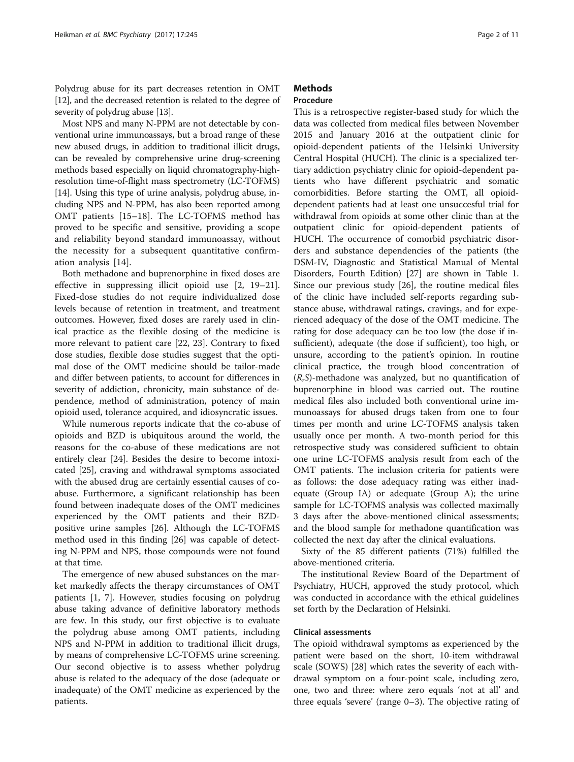Polydrug abuse for its part decreases retention in OMT [12], and the decreased retention is related to the degree of severity of polydrug abuse [13].

Most NPS and many N-PPM are not detectable by conventional urine immunoassays, but a broad range of these new abused drugs, in addition to traditional illicit drugs, can be revealed by comprehensive urine drug-screening methods based especially on liquid chromatography-highresolution time-of-flight mass spectrometry (LC-TOFMS) [14]. Using this type of urine analysis, polydrug abuse, including NPS and N-PPM, has also been reported among OMT patients [15–18]. The LC-TOFMS method has proved to be specific and sensitive, providing a scope and reliability beyond standard immunoassay, without the necessity for a subsequent quantitative confirmation analysis [14].

Both methadone and buprenorphine in fixed doses are effective in suppressing illicit opioid use [2, 19–21]. Fixed-dose studies do not require individualized dose levels because of retention in treatment, and treatment outcomes. However, fixed doses are rarely used in clinical practice as the flexible dosing of the medicine is more relevant to patient care [22, 23]. Contrary to fixed dose studies, flexible dose studies suggest that the optimal dose of the OMT medicine should be tailor-made and differ between patients, to account for differences in severity of addiction, chronicity, main substance of dependence, method of administration, potency of main opioid used, tolerance acquired, and idiosyncratic issues.

While numerous reports indicate that the co-abuse of opioids and BZD is ubiquitous around the world, the reasons for the co-abuse of these medications are not entirely clear [24]. Besides the desire to become intoxicated [25], craving and withdrawal symptoms associated with the abused drug are certainly essential causes of coabuse. Furthermore, a significant relationship has been found between inadequate doses of the OMT medicines experienced by the OMT patients and their BZDpositive urine samples [26]. Although the LC-TOFMS method used in this finding [26] was capable of detecting N-PPM and NPS, those compounds were not found at that time.

The emergence of new abused substances on the market markedly affects the therapy circumstances of OMT patients [1, 7]. However, studies focusing on polydrug abuse taking advance of definitive laboratory methods are few. In this study, our first objective is to evaluate the polydrug abuse among OMT patients, including NPS and N-PPM in addition to traditional illicit drugs, by means of comprehensive LC-TOFMS urine screening. Our second objective is to assess whether polydrug abuse is related to the adequacy of the dose (adequate or inadequate) of the OMT medicine as experienced by the patients.

# **Methods**

# Procedure

This is a retrospective register-based study for which the data was collected from medical files between November 2015 and January 2016 at the outpatient clinic for opioid-dependent patients of the Helsinki University Central Hospital (HUCH). The clinic is a specialized tertiary addiction psychiatry clinic for opioid-dependent patients who have different psychiatric and somatic comorbidities. Before starting the OMT, all opioiddependent patients had at least one unsuccesful trial for withdrawal from opioids at some other clinic than at the outpatient clinic for opioid-dependent patients of HUCH. The occurrence of comorbid psychiatric disorders and substance dependencies of the patients (the DSM-IV, Diagnostic and Statistical Manual of Mental Disorders, Fourth Edition) [27] are shown in Table 1. Since our previous study [26], the routine medical files of the clinic have included self-reports regarding substance abuse, withdrawal ratings, cravings, and for experienced adequacy of the dose of the OMT medicine. The rating for dose adequacy can be too low (the dose if insufficient), adequate (the dose if sufficient), too high, or unsure, according to the patient's opinion. In routine clinical practice, the trough blood concentration of (R,S)-methadone was analyzed, but no quantification of buprenorphine in blood was carried out. The routine medical files also included both conventional urine immunoassays for abused drugs taken from one to four times per month and urine LC-TOFMS analysis taken usually once per month. A two-month period for this retrospective study was considered sufficient to obtain one urine LC-TOFMS analysis result from each of the OMT patients. The inclusion criteria for patients were as follows: the dose adequacy rating was either inadequate (Group IA) or adequate (Group A); the urine sample for LC-TOFMS analysis was collected maximally 3 days after the above-mentioned clinical assessments; and the blood sample for methadone quantification was collected the next day after the clinical evaluations.

Sixty of the 85 different patients (71%) fulfilled the above-mentioned criteria.

The institutional Review Board of the Department of Psychiatry, HUCH, approved the study protocol, which was conducted in accordance with the ethical guidelines set forth by the Declaration of Helsinki.

## Clinical assessments

The opioid withdrawal symptoms as experienced by the patient were based on the short, 10-item withdrawal scale (SOWS) [28] which rates the severity of each withdrawal symptom on a four-point scale, including zero, one, two and three: where zero equals 'not at all' and three equals 'severe' (range 0–3). The objective rating of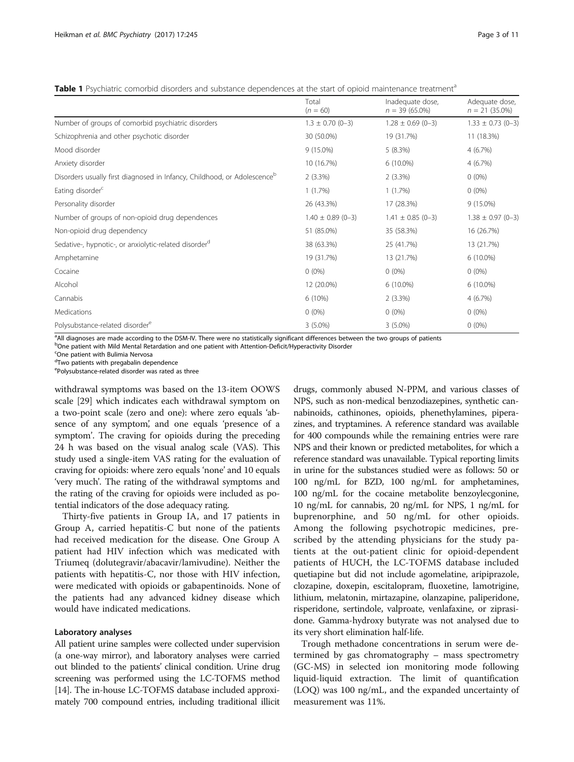Table 1 Psychiatric comorbid disorders and substance dependences at the start of opioid maintenance treatment<sup>a</sup>

|                                                                                      | Total<br>$(n = 60)$   | Inadequate dose,<br>$n = 39(65.0\%)$ | Adequate dose,<br>$n = 21 (35.0\%)$ |
|--------------------------------------------------------------------------------------|-----------------------|--------------------------------------|-------------------------------------|
| Number of groups of comorbid psychiatric disorders                                   | $1.3 \pm 0.70$ (0-3)  | $1.28 \pm 0.69$ (0-3)                | $1.33 \pm 0.73$ (0-3)               |
| Schizophrenia and other psychotic disorder                                           | 30 (50.0%)            | 19 (31.7%)                           | 11 (18.3%)                          |
| Mood disorder                                                                        | $9(15.0\%)$           | 5(8.3%)                              | 4(6.7%)                             |
| Anxiety disorder                                                                     | 10 (16.7%)            | $6(10.0\%)$                          | 4(6.7%)                             |
| Disorders usually first diagnosed in Infancy, Childhood, or Adolescence <sup>b</sup> | $2(3.3\%)$            | 2(3.3%)                              | $0(0\%)$                            |
| Eating disorder <sup>c</sup>                                                         | 1(1.7%)               | 1(1.7%)                              | $0(0\%)$                            |
| Personality disorder                                                                 | 26 (43.3%)            | 17 (28.3%)                           | $9(15.0\%)$                         |
| Number of groups of non-opioid drug dependences                                      | $1.40 \pm 0.89$ (0-3) | $1.41 \pm 0.85$ (0-3)                | $1.38 \pm 0.97$ (0-3)               |
| Non-opioid drug dependency                                                           | 51 (85.0%)            | 35 (58.3%)                           | 16 (26.7%)                          |
| Sedative-, hypnotic-, or anxiolytic-related disorder <sup>d</sup>                    | 38 (63.3%)            | 25 (41.7%)                           | 13 (21.7%)                          |
| Amphetamine                                                                          | 19 (31.7%)            | 13 (21.7%)                           | $6(10.0\%)$                         |
| Cocaine                                                                              | $0(0\%)$              | $0(0\%)$                             | $0(0\%)$                            |
| Alcohol                                                                              | 12 (20.0%)            | $6(10.0\%)$                          | $6(10.0\%)$                         |
| Cannabis                                                                             | 6 (10%)               | 2(3.3%)                              | 4(6.7%)                             |
| Medications                                                                          | $0(0\%)$              | $0(0\%)$                             | $0(0\%)$                            |
| Polysubstance-related disorder <sup>e</sup>                                          | $3(5.0\%)$            | $3(5.0\%)$                           | $0(0\%)$                            |

a<br>All diagnoses are made according to the DSM-IV. There were no statistically significant differences between the two groups of patients <sup>b</sup>One patient with Mild Mental Retardation and one patient with Attention-Deficit/Hyperactivity Disorder

<sup>c</sup>One patient with Bulimia Nervosa

<sup>d</sup>Two patients with pregabalin dependence

e Polysubstance-related disorder was rated as three

withdrawal symptoms was based on the 13-item OOWS scale [29] which indicates each withdrawal symptom on a two-point scale (zero and one): where zero equals 'absence of any symptom', and one equals 'presence of a symptom'. The craving for opioids during the preceding 24 h was based on the visual analog scale (VAS). This study used a single-item VAS rating for the evaluation of craving for opioids: where zero equals 'none' and 10 equals 'very much'. The rating of the withdrawal symptoms and the rating of the craving for opioids were included as potential indicators of the dose adequacy rating.

Thirty-five patients in Group IA, and 17 patients in Group A, carried hepatitis-C but none of the patients had received medication for the disease. One Group A patient had HIV infection which was medicated with Triumeq (dolutegravir/abacavir/lamivudine). Neither the patients with hepatitis-C, nor those with HIV infection, were medicated with opioids or gabapentinoids. None of the patients had any advanced kidney disease which would have indicated medications.

## Laboratory analyses

All patient urine samples were collected under supervision (a one-way mirror), and laboratory analyses were carried out blinded to the patients' clinical condition. Urine drug screening was performed using the LC-TOFMS method [14]. The in-house LC-TOFMS database included approximately 700 compound entries, including traditional illicit

drugs, commonly abused N-PPM, and various classes of NPS, such as non-medical benzodiazepines, synthetic cannabinoids, cathinones, opioids, phenethylamines, piperazines, and tryptamines. A reference standard was available for 400 compounds while the remaining entries were rare NPS and their known or predicted metabolites, for which a reference standard was unavailable. Typical reporting limits in urine for the substances studied were as follows: 50 or 100 ng/mL for BZD, 100 ng/mL for amphetamines, 100 ng/mL for the cocaine metabolite benzoylecgonine, 10 ng/mL for cannabis, 20 ng/mL for NPS, 1 ng/mL for buprenorphine, and 50 ng/mL for other opioids. Among the following psychotropic medicines, prescribed by the attending physicians for the study patients at the out-patient clinic for opioid-dependent patients of HUCH, the LC-TOFMS database included quetiapine but did not include agomelatine, aripiprazole, clozapine, doxepin, escitalopram, fluoxetine, lamotrigine, lithium, melatonin, mirtazapine, olanzapine, paliperidone, risperidone, sertindole, valproate, venlafaxine, or ziprasidone. Gamma-hydroxy butyrate was not analysed due to its very short elimination half-life.

Trough methadone concentrations in serum were determined by gas chromatography – mass spectrometry (GC-MS) in selected ion monitoring mode following liquid-liquid extraction. The limit of quantification (LOQ) was 100 ng/mL, and the expanded uncertainty of measurement was 11%.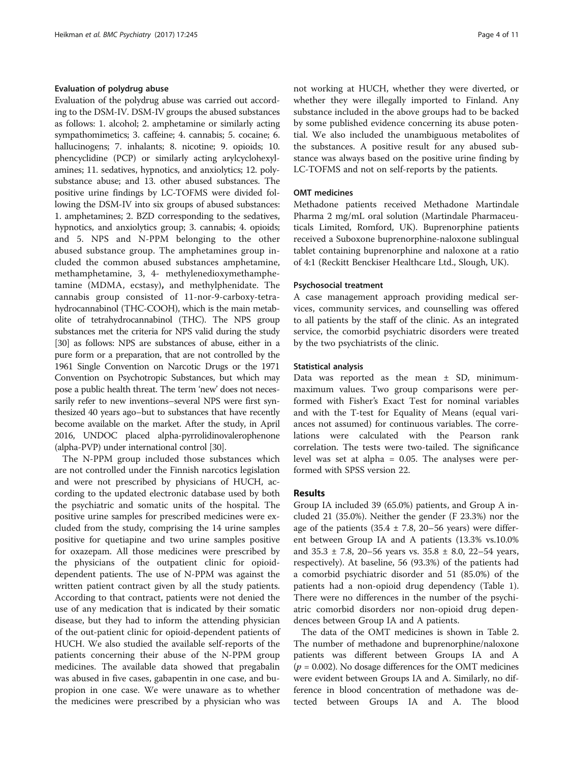### Evaluation of polydrug abuse

Evaluation of the polydrug abuse was carried out according to the DSM-IV. DSM-IV groups the abused substances as follows: 1. alcohol; 2. amphetamine or similarly acting sympathomimetics; 3. caffeine; 4. cannabis; 5. cocaine; 6. hallucinogens; 7. inhalants; 8. nicotine; 9. opioids; 10. phencyclidine (PCP) or similarly acting arylcyclohexylamines; 11. sedatives, hypnotics, and anxiolytics; 12. polysubstance abuse; and 13. other abused substances. The positive urine findings by LC-TOFMS were divided following the DSM-IV into six groups of abused substances: 1. amphetamines; 2. BZD corresponding to the sedatives, hypnotics, and anxiolytics group; 3. cannabis; 4. opioids; and 5. NPS and N-PPM belonging to the other abused substance group. The amphetamines group included the common abused substances amphetamine, methamphetamine, 3, 4- methylenedioxymethamphetamine (MDMA, ecstasy), and methylphenidate. The cannabis group consisted of 11-nor-9-carboxy-tetrahydrocannabinol (THC-COOH), which is the main metabolite of tetrahydrocannabinol (THC). The NPS group substances met the criteria for NPS valid during the study [30] as follows: NPS are substances of abuse, either in a pure form or a preparation, that are not controlled by the 1961 Single Convention on Narcotic Drugs or the 1971 Convention on Psychotropic Substances, but which may pose a public health threat. The term 'new' does not necessarily refer to new inventions–several NPS were first synthesized 40 years ago–but to substances that have recently become available on the market. After the study, in April 2016, UNDOC placed alpha-pyrrolidinovalerophenone (alpha-PVP) under international control [30].

The N-PPM group included those substances which are not controlled under the Finnish narcotics legislation and were not prescribed by physicians of HUCH, according to the updated electronic database used by both the psychiatric and somatic units of the hospital. The positive urine samples for prescribed medicines were excluded from the study, comprising the 14 urine samples positive for quetiapine and two urine samples positive for oxazepam. All those medicines were prescribed by the physicians of the outpatient clinic for opioiddependent patients. The use of N-PPM was against the written patient contract given by all the study patients. According to that contract, patients were not denied the use of any medication that is indicated by their somatic disease, but they had to inform the attending physician of the out-patient clinic for opioid-dependent patients of HUCH. We also studied the available self-reports of the patients concerning their abuse of the N-PPM group medicines. The available data showed that pregabalin was abused in five cases, gabapentin in one case, and bupropion in one case. We were unaware as to whether the medicines were prescribed by a physician who was not working at HUCH, whether they were diverted, or whether they were illegally imported to Finland. Any substance included in the above groups had to be backed by some published evidence concerning its abuse potential. We also included the unambiguous metabolites of the substances. A positive result for any abused substance was always based on the positive urine finding by LC-TOFMS and not on self-reports by the patients.

## OMT medicines

Methadone patients received Methadone Martindale Pharma 2 mg/mL oral solution (Martindale Pharmaceuticals Limited, Romford, UK). Buprenorphine patients received a Suboxone buprenorphine-naloxone sublingual tablet containing buprenorphine and naloxone at a ratio of 4:1 (Reckitt Benckiser Healthcare Ltd., Slough, UK).

## Psychosocial treatment

A case management approach providing medical services, community services, and counselling was offered to all patients by the staff of the clinic. As an integrated service, the comorbid psychiatric disorders were treated by the two psychiatrists of the clinic.

## Statistical analysis

Data was reported as the mean  $\pm$  SD, minimummaximum values. Two group comparisons were performed with Fisher's Exact Test for nominal variables and with the T-test for Equality of Means (equal variances not assumed) for continuous variables. The correlations were calculated with the Pearson rank correlation. The tests were two-tailed. The significance level was set at alpha = 0.05. The analyses were performed with SPSS version 22.

# Results

Group IA included 39 (65.0%) patients, and Group A included 21 (35.0%). Neither the gender (F 23.3%) nor the age of the patients  $(35.4 \pm 7.8, 20 - 56$  years) were different between Group IA and A patients (13.3% vs.10.0% and 35.3 ± 7.8, 20–56 years vs. 35.8 ± 8.0, 22–54 years, respectively). At baseline, 56 (93.3%) of the patients had a comorbid psychiatric disorder and 51 (85.0%) of the patients had a non-opioid drug dependency (Table 1). There were no differences in the number of the psychiatric comorbid disorders nor non-opioid drug dependences between Group IA and A patients.

The data of the OMT medicines is shown in Table 2. The number of methadone and buprenorphine/naloxone patients was different between Groups IA and A  $(p = 0.002)$ . No dosage differences for the OMT medicines were evident between Groups IA and A. Similarly, no difference in blood concentration of methadone was detected between Groups IA and A. The blood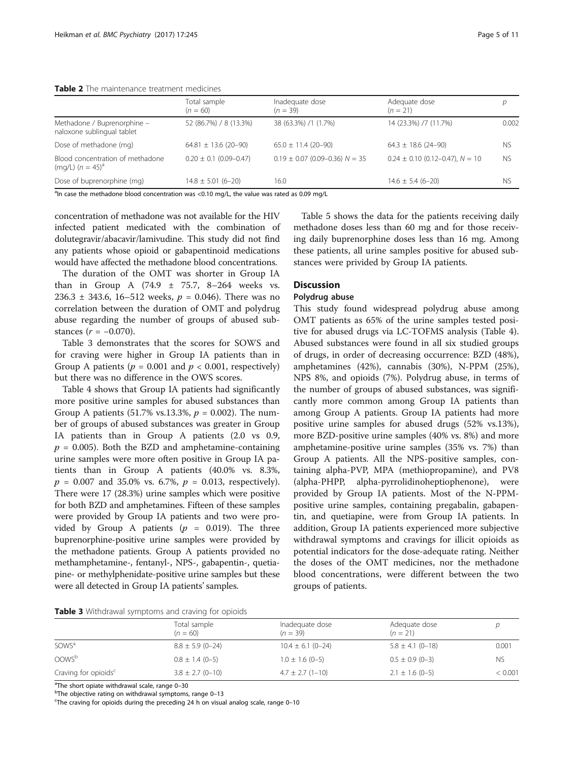Table 2 The maintenance treatment medicines

| Total sample<br>$(n = 60)$ | Inadequate dose<br>$(n = 39)$        | Adequate dose<br>$(n = 21)$           |           |
|----------------------------|--------------------------------------|---------------------------------------|-----------|
| 52 (86.7%) / 8 (13.3%)     | 38 (63.3%) /1 (1.7%)                 | 14 (23.3%) /7 (11.7%)                 | 0.002     |
| $64.81 \pm 13.6$ (20-90)   | $65.0 \pm 11.4$ (20-90)              | $64.3 \pm 18.6$ (24-90)               | <b>NS</b> |
| $0.20 \pm 0.1$ (0.09-0.47) | $0.19 \pm 0.07$ (0.09–0.36) $N = 35$ | $0.24 \pm 0.10$ (0.12-0.47), $N = 10$ | <b>NS</b> |
| $14.8 \pm 5.01$ (6-20)     | 16.0                                 | $14.6 \pm 5.4$ (6-20)                 | ΝS        |
|                            |                                      |                                       |           |

<sup>a</sup>In case the methadone blood concentration was <0.10 mg/L, the value was rated as 0.09 mg/L

concentration of methadone was not available for the HIV infected patient medicated with the combination of dolutegravir/abacavir/lamivudine. This study did not find any patients whose opioid or gabapentinoid medications would have affected the methadone blood concentrations.

The duration of the OMT was shorter in Group IA than in Group A  $(74.9 \pm 75.7, 8-264$  weeks vs. 236.3  $\pm$  343.6, 16–512 weeks,  $p = 0.046$ ). There was no correlation between the duration of OMT and polydrug abuse regarding the number of groups of abused substances  $(r = -0.070)$ .

Table 3 demonstrates that the scores for SOWS and for craving were higher in Group IA patients than in Group A patients ( $p = 0.001$  and  $p < 0.001$ , respectively) but there was no difference in the OWS scores.

Table 4 shows that Group IA patients had significantly more positive urine samples for abused substances than Group A patients (51.7% vs.13.3%,  $p = 0.002$ ). The number of groups of abused substances was greater in Group IA patients than in Group A patients (2.0 vs 0.9,  $p = 0.005$ ). Both the BZD and amphetamine-containing urine samples were more often positive in Group IA patients than in Group A patients (40.0% vs. 8.3%,  $p = 0.007$  and 35.0% vs. 6.7%,  $p = 0.013$ , respectively). There were 17 (28.3%) urine samples which were positive for both BZD and amphetamines. Fifteen of these samples were provided by Group IA patients and two were provided by Group A patients ( $p = 0.019$ ). The three buprenorphine-positive urine samples were provided by the methadone patients. Group A patients provided no methamphetamine-, fentanyl-, NPS-, gabapentin-, quetiapine- or methylphenidate-positive urine samples but these were all detected in Group IA patients' samples.

Table 5 shows the data for the patients receiving daily methadone doses less than 60 mg and for those receiving daily buprenorphine doses less than 16 mg. Among these patients, all urine samples positive for abused substances were privided by Group IA patients.

# **Discussion**

#### Polydrug abuse

This study found widespread polydrug abuse among OMT patients as 65% of the urine samples tested positive for abused drugs via LC-TOFMS analysis (Table 4). Abused substances were found in all six studied groups of drugs, in order of decreasing occurrence: BZD (48%), amphetamines (42%), cannabis (30%), N-PPM (25%), NPS 8%, and opioids (7%). Polydrug abuse, in terms of the number of groups of abused substances, was significantly more common among Group IA patients than among Group A patients. Group IA patients had more positive urine samples for abused drugs (52% vs.13%), more BZD-positive urine samples (40% vs. 8%) and more amphetamine-positive urine samples (35% vs. 7%) than Group A patients. All the NPS-positive samples, containing alpha-PVP, MPA (methiopropamine), and PV8 (alpha-PHPP, alpha-pyrrolidinoheptiophenone), were provided by Group IA patients. Most of the N-PPMpositive urine samples, containing pregabalin, gabapentin, and quetiapine, were from Group IA patients. In addition, Group IA patients experienced more subjective withdrawal symptoms and cravings for illicit opioids as potential indicators for the dose-adequate rating. Neither the doses of the OMT medicines, nor the methadone blood concentrations, were different between the two groups of patients.

|  |  | Table 3 Withdrawal symptoms and craving for opioids |  |  |  |  |  |
|--|--|-----------------------------------------------------|--|--|--|--|--|
|--|--|-----------------------------------------------------|--|--|--|--|--|

|                                  | Total sample<br>$(n = 60)$ | Inadequate dose<br>$(n = 39)$ | Adequate dose<br>$(n = 21)$ |           |
|----------------------------------|----------------------------|-------------------------------|-----------------------------|-----------|
| SOW <sub>S</sub> <sup>a</sup>    | $8.8 \pm 5.9$ (0-24)       | $10.4 \pm 6.1$ (0-24)         | $5.8 \pm 4.1$ (0-18)        | 0.001     |
| OOWS <sup>b</sup>                | $0.8 \pm 1.4$ (0-5)        | $1.0 \pm 1.6$ (0-5)           | $0.5 \pm 0.9$ (0-3)         | <b>NS</b> |
| Craving for opioids <sup>c</sup> | $3.8 \pm 2.7$ (0-10)       | $4.7 \pm 2.7$ (1-10)          | $2.1 \pm 1.6$ (0-5)         | < 0.001   |

<sup>a</sup>The short opiate withdrawal scale, range 0–30<br><sup>b</sup>The objective rating on withdrawal symptoms

 $<sup>b</sup>$ The objective rating on withdrawal symptoms, range 0–13</sup>

 $c$ The craving for opioids during the preceding 24 h on visual analog scale, range 0-10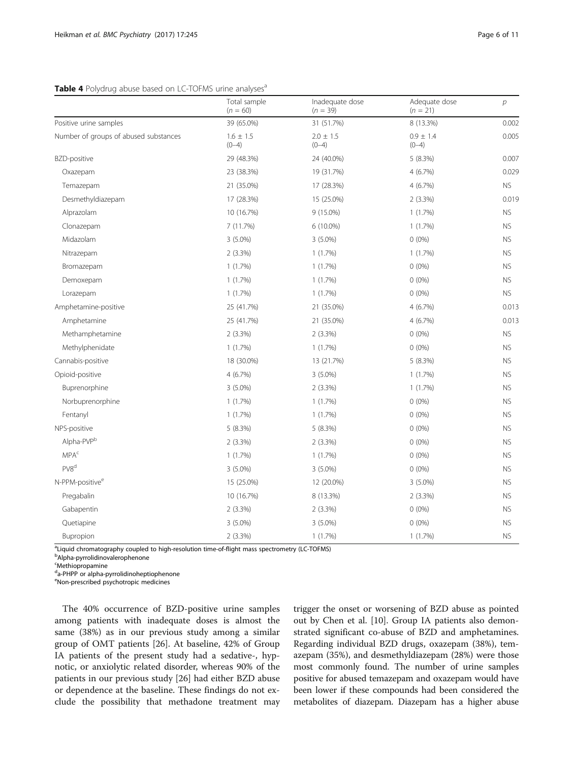#### Table 4 Polydrug abuse based on LC-TOFMS urine analyses<sup>a</sup>

|                                       | Total sample<br>$(n = 60)$ | Inadequate dose<br>$(n = 39)$ | Adequate dose<br>$(n = 21)$ | $\mathcal{D}$ |
|---------------------------------------|----------------------------|-------------------------------|-----------------------------|---------------|
| Positive urine samples                | 39 (65.0%)                 | 31 (51.7%)                    | 8 (13.3%)                   | 0.002         |
| Number of groups of abused substances | $1.6 \pm 1.5$<br>$(0-4)$   | $2.0 \pm 1.5$<br>$(0-4)$      | $0.9 \pm 1.4$<br>$(0-4)$    | 0.005         |
| BZD-positive                          | 29 (48.3%)                 | 24 (40.0%)                    | 5(8.3%)                     | 0.007         |
| Oxazepam                              | 23 (38.3%)                 | 19 (31.7%)                    | 4 (6.7%)                    | 0.029         |
| Temazepam                             | 21 (35.0%)                 | 17 (28.3%)                    | 4 (6.7%)                    | <b>NS</b>     |
| Desmethyldiazepam                     | 17 (28.3%)                 | 15 (25.0%)                    | $2(3.3\%)$                  | 0.019         |
| Alprazolam                            | 10 (16.7%)                 | 9 (15.0%)                     | 1(1.7%)                     | <b>NS</b>     |
| Clonazepam                            | 7 (11.7%)                  | 6 (10.0%)                     | 1(1.7%)                     | <b>NS</b>     |
| Midazolam                             | $3(5.0\%)$                 | $3(5.0\%)$                    | $0(0\%)$                    | <b>NS</b>     |
| Nitrazepam                            | 2(3.3%)                    | 1(1.7%)                       | 1(1.7%)                     | <b>NS</b>     |
| Bromazepam                            | 1(1.7%)                    | 1(1.7%)                       | $0(0\%)$                    | <b>NS</b>     |
| Demoxepam                             | 1(1.7%)                    | 1(1.7%)                       | $0(0\%)$                    | <b>NS</b>     |
| Lorazepam                             | 1(1.7%)                    | 1(1.7%)                       | $0(0\%)$                    | <b>NS</b>     |
| Amphetamine-positive                  | 25 (41.7%)                 | 21 (35.0%)                    | 4 (6.7%)                    | 0.013         |
| Amphetamine                           | 25 (41.7%)                 | 21 (35.0%)                    | 4 (6.7%)                    | 0.013         |
| Methamphetamine                       | 2(3.3%)                    | 2(3.3%)                       | $0(0\%)$                    | <b>NS</b>     |
| Methylphenidate                       | 1(1.7%)                    | 1(1.7%)                       | $0(0\%)$                    | <b>NS</b>     |
| Cannabis-positive                     | 18 (30.0%)                 | 13 (21.7%)                    | 5(8.3%)                     | <b>NS</b>     |
| Opioid-positive                       | 4 (6.7%)                   | $3(5.0\%)$                    | 1(1.7%)                     | <b>NS</b>     |
| Buprenorphine                         | $3(5.0\%)$                 | 2(3.3%)                       | 1(1.7%)                     | <b>NS</b>     |
| Norbuprenorphine                      | 1(1.7%)                    | 1(1.7%)                       | $0(0\%)$                    | <b>NS</b>     |
| Fentanyl                              | 1(1.7%)                    | 1(1.7%)                       | $0(0\%)$                    | <b>NS</b>     |
| NPS-positive                          | 5(8.3%)                    | 5(8.3%)                       | $0(0\%)$                    | <b>NS</b>     |
| Alpha-PVPb                            | 2(3.3%)                    | 2(3.3%)                       | $0(0\%)$                    | <b>NS</b>     |
| MPA <sup>c</sup>                      | 1(1.7%)                    | 1(1.7%)                       | $0(0\%)$                    | <b>NS</b>     |
| PV8 <sup>d</sup>                      | $3(5.0\%)$                 | $3(5.0\%)$                    | $0(0\%)$                    | <b>NS</b>     |
| N-PPM-positive <sup>e</sup>           | 15 (25.0%)                 | 12 (20.0%)                    | $3(5.0\%)$                  | <b>NS</b>     |
| Pregabalin                            | 10 (16.7%)                 | 8 (13.3%)                     | 2(3.3%)                     | <b>NS</b>     |
| Gabapentin                            | 2(3.3%)                    | 2(3.3%)                       | $0(0\%)$                    | <b>NS</b>     |
| Quetiapine                            | 3 (5.0%)                   | 3 (5.0%)                      | $0(0\%)$                    | <b>NS</b>     |
| Bupropion                             | 2(3.3%)                    | 1(1.7%)                       | 1(1.7%)                     | <b>NS</b>     |

<sup>a</sup>Liquid chromatography coupled to high-resolution time-of-flight mass spectrometry (LC-TOFMS)

<sup>b</sup>Alpha-pyrrolidinovalerophenone

<sup>c</sup>Methiopropamine

<sup>d</sup>a-PHPP or alpha-pyrrolidinoheptiophenone

e Non-prescribed psychotropic medicines

The 40% occurrence of BZD-positive urine samples among patients with inadequate doses is almost the same (38%) as in our previous study among a similar group of OMT patients [26]. At baseline, 42% of Group IA patients of the present study had a sedative-, hypnotic, or anxiolytic related disorder, whereas 90% of the patients in our previous study [26] had either BZD abuse or dependence at the baseline. These findings do not exclude the possibility that methadone treatment may

trigger the onset or worsening of BZD abuse as pointed out by Chen et al. [10]. Group IA patients also demonstrated significant co-abuse of BZD and amphetamines. Regarding individual BZD drugs, oxazepam (38%), temazepam (35%), and desmethyldiazepam (28%) were those most commonly found. The number of urine samples positive for abused temazepam and oxazepam would have been lower if these compounds had been considered the metabolites of diazepam. Diazepam has a higher abuse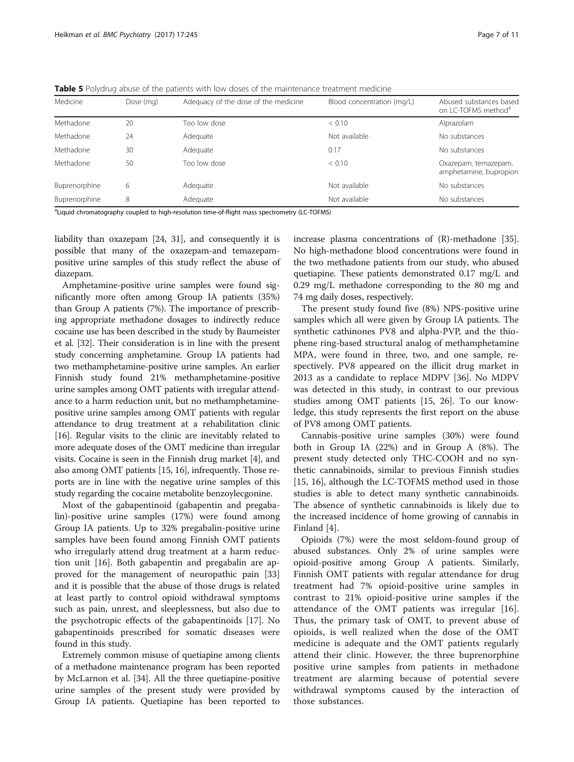| Medicine   | Dose (mg) | Adequacy of the dose of the medicine | Blood concentration (mg/L) | Abused substances based<br>on I C-TOFMS method <sup>a</sup> |
|------------|-----------|--------------------------------------|----------------------------|-------------------------------------------------------------|
| Mathaddana |           | Too Jour doco                        | ∕∩ 1∩                      | Alprazolam                                                  |

Table 5 Polydrug abuse of the patients with low doses of the maintenance treatment medicine

| IVIEUILIIE    | DUSE (IIIU) | Adequacy of the dose of the medicine | DIUUU CUHCEHHAHUH (HHYL) | ANUSEU SUNSIGHLES NASEU<br>on LC-TOFMS method <sup>d</sup> |
|---------------|-------------|--------------------------------------|--------------------------|------------------------------------------------------------|
| Methadone     | 20          | Too low dose                         | < 0.10                   | Alprazolam                                                 |
| Methadone     | 24          | Adequate                             | Not available            | No substances                                              |
| Methadone     | 30          | Adequate                             | 0.17                     | No substances                                              |
| Methadone     | 50          | Too low dose                         | < 0.10                   | Oxazepam, temazepam,<br>amphetamine, bupropion             |
| Buprenorphine | 6           | Adequate                             | Not available            | No substances                                              |
| Buprenorphine | 8           | Adequate                             | Not available            | No substances                                              |

<sup>a</sup>Liquid chromatography coupled to high-resolution time-of-flight mass spectrometry (LC-TOFMS)

liability than oxazepam [24, 31], and consequently it is possible that many of the oxazepam-and temazepampositive urine samples of this study reflect the abuse of diazepam.

Amphetamine-positive urine samples were found significantly more often among Group IA patients (35%) than Group A patients (7%). The importance of prescribing appropriate methadone dosages to indirectly reduce cocaine use has been described in the study by Baumeister et al. [32]. Their consideration is in line with the present study concerning amphetamine. Group IA patients had two methamphetamine-positive urine samples. An earlier Finnish study found 21% methamphetamine-positive urine samples among OMT patients with irregular attendance to a harm reduction unit, but no methamphetaminepositive urine samples among OMT patients with regular attendance to drug treatment at a rehabilitation clinic [16]. Regular visits to the clinic are inevitably related to more adequate doses of the OMT medicine than irregular visits. Cocaine is seen in the Finnish drug market [4], and also among OMT patients [15, 16], infrequently. Those reports are in line with the negative urine samples of this study regarding the cocaine metabolite benzoylecgonine.

Most of the gabapentinoid (gabapentin and pregabalin)-positive urine samples (17%) were found among Group IA patients. Up to 32% pregabalin-positive urine samples have been found among Finnish OMT patients who irregularly attend drug treatment at a harm reduction unit [16]. Both gabapentin and pregabalin are approved for the management of neuropathic pain [33] and it is possible that the abuse of those drugs is related at least partly to control opioid withdrawal symptoms such as pain, unrest, and sleeplessness, but also due to the psychotropic effects of the gabapentinoids [17]. No gabapentinoids prescribed for somatic diseases were found in this study.

Extremely common misuse of quetiapine among clients of a methadone maintenance program has been reported by McLarnon et al. [34]. All the three quetiapine-positive urine samples of the present study were provided by Group IA patients. Quetiapine has been reported to

increase plasma concentrations of (R)-methadone [35]. No high-methadone blood concentrations were found in the two methadone patients from our study, who abused quetiapine. These patients demonstrated 0.17 mg/L and 0.29 mg/L methadone corresponding to the 80 mg and 74 mg daily doses, respectively.

The present study found five (8%) NPS-positive urine samples which all were given by Group IA patients. The synthetic cathinones PV8 and alpha-PVP, and the thiophene ring-based structural analog of methamphetamine MPA, were found in three, two, and one sample, respectively. PV8 appeared on the illicit drug market in 2013 as a candidate to replace MDPV [36]. No MDPV was detected in this study, in contrast to our previous studies among OMT patients [15, 26]. To our knowledge, this study represents the first report on the abuse of PV8 among OMT patients.

Cannabis-positive urine samples (30%) were found both in Group IA (22%) and in Group A (8%). The present study detected only THC-COOH and no synthetic cannabinoids, similar to previous Finnish studies [15, 16], although the LC-TOFMS method used in those studies is able to detect many synthetic cannabinoids. The absence of synthetic cannabinoids is likely due to the increased incidence of home growing of cannabis in Finland [4].

Opioids (7%) were the most seldom-found group of abused substances. Only 2% of urine samples were opioid-positive among Group A patients. Similarly, Finnish OMT patients with regular attendance for drug treatment had 7% opioid-positive urine samples in contrast to 21% opioid-positive urine samples if the attendance of the OMT patients was irregular [16]. Thus, the primary task of OMT, to prevent abuse of opioids, is well realized when the dose of the OMT medicine is adequate and the OMT patients regularly attend their clinic. However, the three buprenorphine positive urine samples from patients in methadone treatment are alarming because of potential severe withdrawal symptoms caused by the interaction of those substances.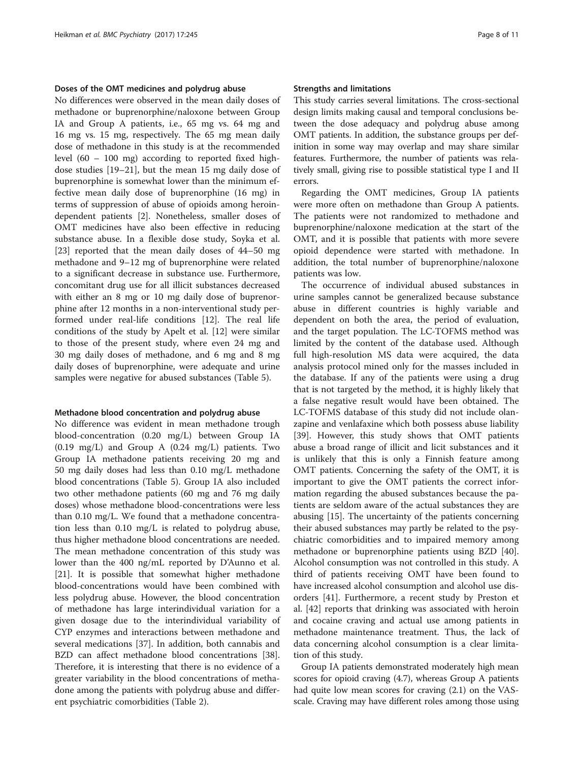## Doses of the OMT medicines and polydrug abuse

No differences were observed in the mean daily doses of methadone or buprenorphine/naloxone between Group IA and Group A patients, i.e., 65 mg vs. 64 mg and 16 mg vs. 15 mg, respectively. The 65 mg mean daily dose of methadone in this study is at the recommended level (60 – 100 mg) according to reported fixed highdose studies [19–21], but the mean 15 mg daily dose of buprenorphine is somewhat lower than the minimum effective mean daily dose of buprenorphine (16 mg) in terms of suppression of abuse of opioids among heroindependent patients [2]. Nonetheless, smaller doses of OMT medicines have also been effective in reducing substance abuse. In a flexible dose study, Soyka et al. [23] reported that the mean daily doses of 44–50 mg methadone and 9–12 mg of buprenorphine were related to a significant decrease in substance use. Furthermore, concomitant drug use for all illicit substances decreased with either an 8 mg or 10 mg daily dose of buprenorphine after 12 months in a non-interventional study performed under real-life conditions [12]. The real life conditions of the study by Apelt et al. [12] were similar to those of the present study, where even 24 mg and 30 mg daily doses of methadone, and 6 mg and 8 mg daily doses of buprenorphine, were adequate and urine samples were negative for abused substances (Table 5).

#### Methadone blood concentration and polydrug abuse

No difference was evident in mean methadone trough blood-concentration (0.20 mg/L) between Group IA  $(0.19 \text{ mg/L})$  and Group A  $(0.24 \text{ mg/L})$  patients. Two Group IA methadone patients receiving 20 mg and 50 mg daily doses had less than 0.10 mg/L methadone blood concentrations (Table 5). Group IA also included two other methadone patients (60 mg and 76 mg daily doses) whose methadone blood-concentrations were less than 0.10 mg/L. We found that a methadone concentration less than 0.10 mg/L is related to polydrug abuse, thus higher methadone blood concentrations are needed. The mean methadone concentration of this study was lower than the 400 ng/mL reported by D'Aunno et al. [21]. It is possible that somewhat higher methadone blood-concentrations would have been combined with less polydrug abuse. However, the blood concentration of methadone has large interindividual variation for a given dosage due to the interindividual variability of CYP enzymes and interactions between methadone and several medications [37]. In addition, both cannabis and BZD can affect methadone blood concentrations [38]. Therefore, it is interesting that there is no evidence of a greater variability in the blood concentrations of methadone among the patients with polydrug abuse and different psychiatric comorbidities (Table 2).

#### Strengths and limitations

This study carries several limitations. The cross-sectional design limits making causal and temporal conclusions between the dose adequacy and polydrug abuse among OMT patients. In addition, the substance groups per definition in some way may overlap and may share similar features. Furthermore, the number of patients was relatively small, giving rise to possible statistical type I and II errors.

Regarding the OMT medicines, Group IA patients were more often on methadone than Group A patients. The patients were not randomized to methadone and buprenorphine/naloxone medication at the start of the OMT, and it is possible that patients with more severe opioid dependence were started with methadone. In addition, the total number of buprenorphine/naloxone patients was low.

The occurrence of individual abused substances in urine samples cannot be generalized because substance abuse in different countries is highly variable and dependent on both the area, the period of evaluation, and the target population. The LC-TOFMS method was limited by the content of the database used. Although full high-resolution MS data were acquired, the data analysis protocol mined only for the masses included in the database. If any of the patients were using a drug that is not targeted by the method, it is highly likely that a false negative result would have been obtained. The LC-TOFMS database of this study did not include olanzapine and venlafaxine which both possess abuse liability [39]. However, this study shows that OMT patients abuse a broad range of illicit and licit substances and it is unlikely that this is only a Finnish feature among OMT patients. Concerning the safety of the OMT, it is important to give the OMT patients the correct information regarding the abused substances because the patients are seldom aware of the actual substances they are abusing [15]. The uncertainty of the patients concerning their abused substances may partly be related to the psychiatric comorbidities and to impaired memory among methadone or buprenorphine patients using BZD [40]. Alcohol consumption was not controlled in this study. A third of patients receiving OMT have been found to have increased alcohol consumption and alcohol use disorders [41]. Furthermore, a recent study by Preston et al. [42] reports that drinking was associated with heroin and cocaine craving and actual use among patients in methadone maintenance treatment. Thus, the lack of data concerning alcohol consumption is a clear limitation of this study.

Group IA patients demonstrated moderately high mean scores for opioid craving (4.7), whereas Group A patients had quite low mean scores for craving (2.1) on the VASscale. Craving may have different roles among those using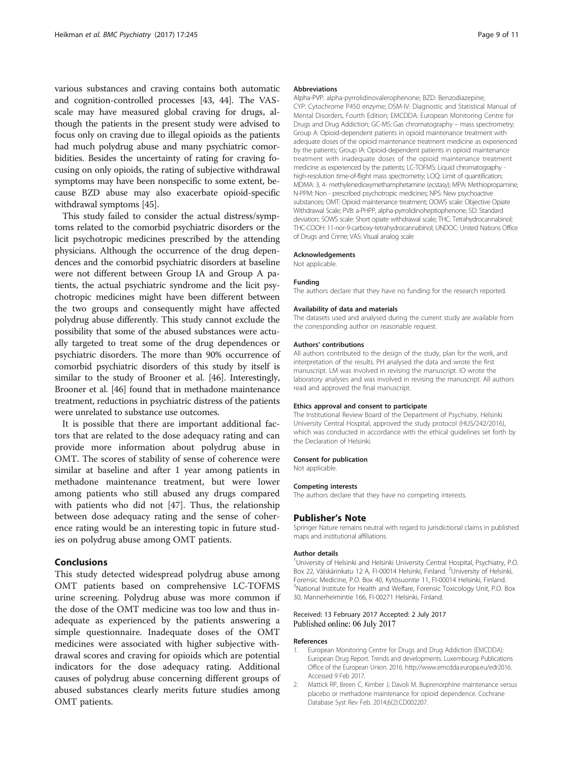various substances and craving contains both automatic and cognition-controlled processes [43, 44]. The VASscale may have measured global craving for drugs, although the patients in the present study were advised to focus only on craving due to illegal opioids as the patients had much polydrug abuse and many psychiatric comorbidities. Besides the uncertainty of rating for craving focusing on only opioids, the rating of subjective withdrawal symptoms may have been nonspecific to some extent, because BZD abuse may also exacerbate opioid-specific withdrawal symptoms [45].

This study failed to consider the actual distress/symptoms related to the comorbid psychiatric disorders or the licit psychotropic medicines prescribed by the attending physicians. Although the occurrence of the drug dependences and the comorbid psychiatric disorders at baseline were not different between Group IA and Group A patients, the actual psychiatric syndrome and the licit psychotropic medicines might have been different between the two groups and consequently might have affected polydrug abuse differently. This study cannot exclude the possibility that some of the abused substances were actually targeted to treat some of the drug dependences or psychiatric disorders. The more than 90% occurrence of comorbid psychiatric disorders of this study by itself is similar to the study of Brooner et al. [46]. Interestingly, Brooner et al. [46] found that in methadone maintenance treatment, reductions in psychiatric distress of the patients were unrelated to substance use outcomes.

It is possible that there are important additional factors that are related to the dose adequacy rating and can provide more information about polydrug abuse in OMT. The scores of stability of sense of coherence were similar at baseline and after 1 year among patients in methadone maintenance treatment, but were lower among patients who still abused any drugs compared with patients who did not [47]. Thus, the relationship between dose adequacy rating and the sense of coherence rating would be an interesting topic in future studies on polydrug abuse among OMT patients.

# Conclusions

This study detected widespread polydrug abuse among OMT patients based on comprehensive LC-TOFMS urine screening. Polydrug abuse was more common if the dose of the OMT medicine was too low and thus inadequate as experienced by the patients answering a simple questionnaire. Inadequate doses of the OMT medicines were associated with higher subjective withdrawal scores and craving for opioids which are potential indicators for the dose adequacy rating. Additional causes of polydrug abuse concerning different groups of abused substances clearly merits future studies among OMT patients.

#### Abbreviations

Alpha-PVP: alpha-pyrrolidinovalerophenone; BZD: Benzodiazepine; CYP: Cytochrome P450 enzyme; DSM-IV: Diagnostic and Statistical Manual of Mental Disorders, Fourth Edition; EMCDDA: European Monitoring Centre for Drugs and Drug Addiction; GC-MS: Gas chromatography – mass spectrometry; Group A: Opioid-dependent patients in opioid maintenance treatment with adequate doses of the opioid maintenance treatment medicine as experienced by the patients; Group IA: Opioid-dependent patients in opioid maintenance treatment with inadequate doses of the opioid maintenance treatment medicine as experienced by the patients; LC-TOFMS: Liquid chromatography high-resolution time-of-flight mass spectrometry: LOQ: Limit of quantification; MDMA: 3, 4- methylenedioxymethamphetamine (ecstasy); MPA: Methiopropamine; N-PPM: Non - prescribed psychotropic medicines; NPS: New psychoactive substances; OMT: Opioid maintenance treatment; OOWS scale: Objective Opiate Withdrawal Scale; PV8: a-PHPP, alpha-pyrrolidinoheptiophenone; SD: Standard deviation; SOWS scale: Short opiate withdrawal scale; THC: Tetrahydrocannabinol; THC-COOH: 11-nor-9-carboxy-tetrahydrocannabinol; UNDOC: United Nations Office of Drugs and Crime; VAS: Visual analog scale

#### Acknowledgements

Not applicable.

#### Funding

The authors declare that they have no funding for the research reported.

#### Availability of data and materials

The datasets used and analysed during the current study are available from the corresponding author on reasonable request.

#### Authors' contributions

All authors contributed to the design of the study, plan for the work, and interpretation of the results. PH analysed the data and wrote the first manuscript. LM was involved in revising the manuscript. IO wrote the laboratory analyses and was involved in revising the manuscript. All authors read and approved the final manuscript.

#### Ethics approval and consent to participate

The Institutional Review Board of the Department of Psychiatry, Helsinki University Central Hospital, approved the study protocol (HUS/242/2016), which was conducted in accordance with the ethical guidelines set forth by the Declaration of Helsinki.

#### Consent for publication

Not applicable.

#### Competing interests

The authors declare that they have no competing interests.

#### Publisher's Note

Springer Nature remains neutral with regard to jurisdictional claims in published maps and institutional affiliations.

#### Author details

<sup>1</sup>University of Helsinki and Helsinki University Central Hospital, Psychiatry, P.O. Box 22, Välskärinkatu 12 A, FI-00014 Helsinki, Finland. <sup>2</sup>University of Helsinki Forensic Medicine, P.O. Box 40, Kytösuontie 11, FI-00014 Helsinki, Finland. <sup>3</sup>National Institute for Health and Welfare, Forensic Toxicology Unit, P.O. Box 30, Mannerheimintie 166, FI-00271 Helsinki, Finland.

### Received: 13 February 2017 Accepted: 2 July 2017 Published online: 06 July 2017

#### References

- 1. European Monitoring Centre for Drugs and Drug Addiction (EMCDDA): European Drug Report. Trends and developments. Luxembourg: Publications Office of the European Union. 2016.<http://www.emcdda.europa.eu/edr2016>. Accessed 9 Feb 2017.
- 2. Mattick RP, Breen C, Kimber J, Davoli M. Buprenorphine maintenance versus placebo or methadone maintenance for opioid dependence. Cochrane Database Syst Rev Feb. 2014;6(2):CD002207.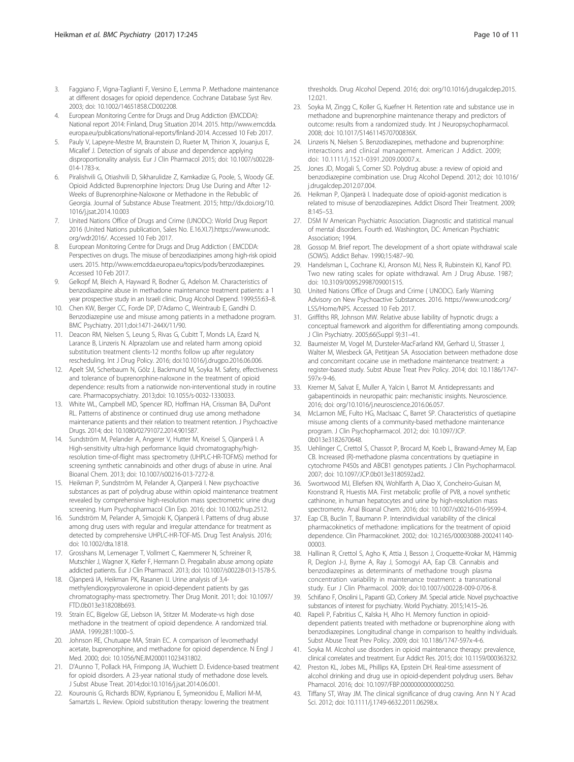- 3. Faggiano F, Vigna-Taglianti F, Versino E, Lemma P. Methadone maintenance at different dosages for opioid dependence. Cochrane Database Syst Rev. 2003; doi: [10.1002/14651858.CD002208.](http://dx.doi.org/10.1002/14651858.CD002208)
- 4. European Monitoring Centre for Drugs and Drug Addiction (EMCDDA): National report 2014: Finland, Drug Situation 2014. 2015. [http://www.emcdda.](http://www.emcdda.europa.eu/publications/national-reports/finland-2014) [europa.eu/publications/national-reports/finland-2014](http://www.emcdda.europa.eu/publications/national-reports/finland-2014). Accessed 10 Feb 2017.
- Pauly V, Lapeyre-Mestre M, Braunstein D, Rueter M, Thirion X, Jouanjus E, Micallef J. Detection of signals of abuse and dependence applying disproportionality analysis. Eur J Clin Pharmacol 2015; doi: [10.1007/s00228-](http://dx.doi.org/10.1007/s00228-014-1783-x) [014-1783-x.](http://dx.doi.org/10.1007/s00228-014-1783-x)
- 6. Piralishvili G, Otiashvili D, Sikharulidze Z, Kamkadize G, Poole, S, Woody GE. Opioid Addicted Buprenorphine Injectors: Drug Use During and After 12- Weeks of Buprenorphine-Naloxone or Methadone in the Rebublic of Georgia. Journal of Substance Abuse Treatment. 2015; [http://dx.doi.org/10.](http://dx.doi.org/10.1016/j.jsat.2014.10.003) [1016/j.jsat.2014.10.003](http://dx.doi.org/10.1016/j.jsat.2014.10.003)
- 7. United Nations Office of Drugs and Crime (UNODC): World Drug Report 2016 (United Nations publication, Sales No. E.16.XI.7).https::/[/www.unodc.](http://www.unodc.org/wdr2016) [org/wdr2016/](http://www.unodc.org/wdr2016). Accessed 10 Feb 2017.
- 8. European Monitoring Centre for Drugs and Drug Addiction ( EMCDDA: Perspectives on drugs. The misuse of benzodiazipines among high-risk opioid users. 2015. [http://www.emcdda.europa.eu/topics/pods/benzodiazepines.](http://www.emcdda.europa.eu/topics/pods/benzodiazepines.Accessed%2010%20Feb%202017) [Accessed 10 Feb 2017](http://www.emcdda.europa.eu/topics/pods/benzodiazepines.Accessed%2010%20Feb%202017).
- 9. Gelkopf M, Bleich A, Hayward R, Bodner G, Adelson M. Characteristics of benzodiazepine abuse in methadone maintenance treatment patients: a 1 year prospective study in an Israeli clinic. Drug Alcohol Depend. 1999;55:63–8.
- 10. Chen KW, Berger CC, Forde DP, D'Adamo C, Weintraub E, Gandhi D. Benzodiazepine use and misuse among patients in a methadone program. BMC Psychiatry. 2011;doi:1471-244X/11/90.
- 11. Deacon RM, Nielsen S, Leung S, Rivas G, Cubitt T, Monds LA, Ezard N, Larance B, Linzeris N. Alprazolam use and related harm among opioid substitution treatment clients-12 months follow up after regulatory rescheduling. Int J Drug Policy. 2016; doi[:10.1016/j.drugpo.2016.06.006](http://dx.doi.org/10.1016/j.drugpo.2016.06.006).
- 12. Apelt SM, Scherbaum N, Gölz J, Backmund M, Soyka M. Safety, effectiveness and tolerance of buprenorphine-naloxone in the treatment of opioid dependence: results from a nationwide non-interventional study in routine care. Pharmacopsychiatry. 2013;doi: [10.1055/s-0032-1330033.](http://dx.doi.org/10.1055/s-0032-1330033)
- 13. White WL, Campbell MD, Spencer RD, Hoffman HA, Crissman BA, DuPont RL. Patterns of abstinence or continued drug use among methadone maintenance patients and their relation to treatment retention. J Psychoactive Drugs. 2014; doi: [10.1080/02791072.2014.901587.](http://dx.doi.org/10.1080/02791072.2014.901587)
- 14. Sundström M, Pelander A, Angerer V, Hutter M, Kneisel S, Ojanperä I. A High-sensitivity ultra-high performance liquid chromatography/highresolution time-of-flight mass spectrometry (UHPLC-HR-TOFMS) method for screening synthetic cannabinoids and other drugs of abuse in urine. Anal Bioanal Chem. 2013; doi: [10.1007/s00216-013-7272-8](http://dx.doi.org/10.1007/s00216-013-7272-8).
- 15. Heikman P, Sundstrröm M, Pelander A, Ojanperä I. New psychoactive substances as part of polydrug abuse within opioid maintenance treatment revealed by comprehensive high-resolution mass spectrometric urine drug screening. Hum Psychopharmacol Clin Exp. 2016; doi: [10.1002/hup.2512](http://dx.doi.org/10.1002/hup.2512).
- 16. Sundström M, Pelander A, Simojoki K, Ojanperä I. Patterns of drug abuse among drug users with regular and irregular attendance for treatment as detected by comprehensive UHPLC-HR-TOF-MS. Drug Test Analysis. 2016; doi: [10.1002/dta.1818](http://dx.doi.org/10.1002/dta.1818).
- 17. Grosshans M, Lemenager T, Vollmert C, Kaemmerer N, Schreiner R, Mutschler J, Wagner X, Kiefer F, Hermann D. Pregabalin abuse among opiate addicted patients. Eur J Clin Pharmacol. 2013; doi: [10.1007/s00228-013-1578-5](http://dx.doi.org/10.1007/s00228-013-1578-5).
- 18. Ojanperä IA, Heikman PK, Rasanen IJ. Urine analysis of 3,4 methylendioxypyrovalerone in opioid-dependent patients by gas chromatography-mass spectrometry. Ther Drug Monit. 2011; doi: [10.1097/](http://dx.doi.org/10.1097/FTD.0b013e318208b693) [FTD.0b013e318208b693.](http://dx.doi.org/10.1097/FTD.0b013e318208b693)
- 19. Strain EC, Bigelow GE, Liebson IA, Stitzer M. Moderate-vs high dose methadone in the treatment of opioid dependence. A randomized trial. JAMA. 1999;281:1000–5.
- 20. Johnson RE, Chutuape MA, Strain EC. A comparison of levomethadyl acetate, buprenorphine, and methadone for opioid dependence. N Engl J Med. 2000; doi: [10.1056/NEJM200011023431802](http://dx.doi.org/10.1056/NEJM200011023431802).
- 21. D'Aunno T, Pollack HA, Frimpong JA, Wuchiett D. Evidence-based treatment for opioid disorders. A 23-year national study of methadone dose levels. J Subst Abuse Treat. 2014;doi[:10.1016/j.jsat.2014.06.001.](http://dx.doi.org/10.1016/j.jsat.2014.06.001)
- 22. Kourounis G, Richards BDW, Kyprianou E, Symeonidou E, Malliori M-M, Samartzis L. Review. Opioid substitution therapy: lowering the treatment

thresholds. Drug Alcohol Depend. 2016; doi: org/[10.1016/j.drugalcdep.2015.](http://dx.doi.org/10.1016/j.drugalcdep.2015.12.021) [12.021.](http://dx.doi.org/10.1016/j.drugalcdep.2015.12.021)

- 23. Soyka M, Zingg C, Koller G, Kuefner H. Retention rate and substance use in methadone and buprenorphine maintenance therapy and predictors of outcome: results from a randomized study. Int J Neuropsychopharmacol. 2008; doi: [10.1017/S146114570700836X.](http://dx.doi.org/10.1017/S146114570700836X)
- 24. Linzeris N, Nielsen S. Benzodiazepines, methadone and buprenorphine: interactions and clinical management. American J Addict. 2009; doi: [10.1111/j.1521-0391.2009.00007.x](http://dx.doi.org/10.1111/j.1521-0391.2009.00007.x).
- 25. Jones JD, Mogali S, Comer SD. Polydrug abuse: a review of opioid and benzodiazepine combination use. Drug Alcohol Depend. 2012; doi: [10.1016/](http://dx.doi.org/10.1016/j.drugalcdep.2012.07.004) [j.drugalcdep.2012.07.004](http://dx.doi.org/10.1016/j.drugalcdep.2012.07.004).
- 26. Heikman P, Ojanperä I. Inadequate dose of opioid-agonist medication is related to misuse of benzodiazepines. Addict Disord Their Treatment. 2009; 8:145–53.
- 27. DSM IV American Psychiatric Association. Diagnostic and statistical manual of mental disorders. Fourth ed. Washington, DC: American Psychiatric Association; 1994.
- 28. Gossop M. Brief report. The development of a short opiate withdrawal scale (SOWS). Addict Behav. 1990;15:487–90.
- 29. Handelsman L, Cochrane KJ, Aronson MJ, Ness R, Rubinstein KJ, Kanof PD. Two new rating scales for opiate withdrawal. Am J Drug Abuse. 1987; doi: [10.3109/00952998709001515.](http://dx.doi.org/10.3109/00952998709001515)
- 30. United Nations Office of Drugs and Crime ( UNODC). Early Warning Advisory on New Psychoactive Substances. 2016. [https://www.unodc.org/](https://www.unodc.org/LSS/Home/NPS) [LSS/Home/NPS](https://www.unodc.org/LSS/Home/NPS). Accessed 10 Feb 2017.
- 31. Griffiths RR, Johnson MW. Relative abuse liability of hypnotic drugs: a conceptual framework and algorithm for differentiating among compounds. J Clin Psychiatry. 2005;66(Suppl 9):31–41.
- 32. Baumeister M, Vogel M, Dursteler-MacFarland KM, Gerhard U, Strasser J, Walter M, Wiesbeck GA, Petitjean SA. Association between methadone dose and concomitant cocaine use in methadone maintenance treatment: a register-based study. Subst Abuse Treat Prev Policy. 2014; doi: [10.1186/1747-](http://dx.doi.org/10.1186/1747-597x-9-46) [597x-9-46](http://dx.doi.org/10.1186/1747-597x-9-46).
- 33. Kremer M, Salvat E, Muller A, Yalcin I, Barrot M. Antidepressants and gabapentinoids in neuropathic pain: mechanistic insights. Neuroscience. 2016; doi: org[/10.1016/j.neuroscience.2016.06.057](http://dx.doi.org/10.1016/j.neuroscience.2016.06.057).
- 34. McLarnon ME, Fulto HG, MacIsaac C, Barret SP. Characteristics of quetiapine misuse among clients of a community-based methadone maintenance program. J Clin Psychopharmacol. 2012; doi: [10.1097/JCP.](http://dx.doi.org/10.1097/JCP.0b013e3182670648) [0b013e3182670648.](http://dx.doi.org/10.1097/JCP.0b013e3182670648)
- 35. Uehlinger C, Crettol S, Chassot P, Brocard M, Koeb L, Brawand-Amey M, Eap CB. Increased (R)-methadone plasma concentrations by quetiapine in cytochrome P450s and ABCB1 genotypes patients. J Clin Psychopharmacol. 2007; doi: [10.1097/JCP.0b013e3180592ad2.](http://dx.doi.org/10.1097/JCP.0b013e3180592ad2)
- 36. Swortwood MJ, Ellefsen KN, Wohlfarth A, Diao X, Concheiro-Guisan M, Kronstrand R, Huestis MA. First metabolic profile of PV8, a novel synthetic cathinone, in human hepatocytes and urine by high-resolution mass spectrometry. Anal Bioanal Chem. 2016; doi: [10.1007/s00216-016-9599-4.](http://dx.doi.org/10.1007/s00216-016-9599-4)
- 37. Eap CB, Buclin T, Baumann P. Interindividual variability of the clinical pharmacokinetics of methadone: implications for the treatment of opioid dependence. Clin Pharmacokinet. 2002; doi: [10.2165/00003088-200241140-](http://dx.doi.org/10.2165/00003088-200241140-00003) [00003.](http://dx.doi.org/10.2165/00003088-200241140-00003)
- 38. Hallinan R, Crettol S, Agho K, Attia J, Besson J, Croquette-Krokar M, Hämmig R, Deglon J-J, Byrne A, Ray J, Somogyi AA, Eap CB. Cannabis and benzodiazepines as determinants of methadone trough plasma concentration variability in maintenance treatment: a transnational study. Eur J Clin Pharmacol. 2009; doi:[10.1007/s00228-009-0706-8.](http://dx.doi.org/10.1007/s00228-009-0706-8)
- 39. Schifano F, Orsolini L, Papanti GD, Corkery JM. Special article. Novel psychoactive substances of interest for psychiatry. World Psychiatry. 2015;14:15–26.
- 40. Rapeli P, Fabritius C, Kalska H, Alho H. Memory function in opioiddependent patients treated with methadone or buprenorphine along with benzodiazepines. Longitudinal change in comparison to healthy individuals. Subst Abuse Treat Prev Policy. 2009; doi: [10.1186/1747-597x-4-6](http://dx.doi.org/10.1186/1747-597x-4-6).
- 41. Soyka M. Alcohol use disorders in opioid maintenance therapy: prevalence, clinical correlates and treatment. Eur Addict Res. 2015; doi: [10.1159/000363232.](http://dx.doi.org/10.1159/000363232)
- 42. Preston KL, Jobes ML, Phillips KA, Epstein DH. Real-time assessment of alcohol drinking and drug use in opioid-dependent polydrug users. Behav Phamacol. 2016; doi: [10.1097/FBP.0000000000000250.](http://dx.doi.org/10.1097/FBP.0000000000000250)
- 43. Tiffany ST, Wray JM. The clinical significance of drug craving. Ann N Y Acad Sci. 2012; doi: [10.1111/j.1749-6632.2011.06298.x.](http://dx.doi.org/10.1111/j.1749-6632.2011.06298.x)